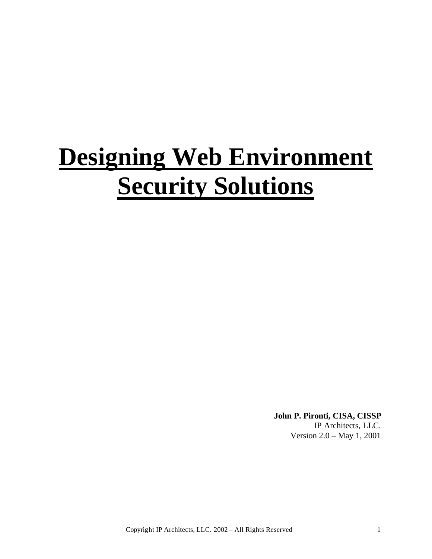# **Designing Web Environment Security Solutions**

**John P. Pironti, CISA, CISSP** IP Architects, LLC.

Version 2.0 – May 1, 2001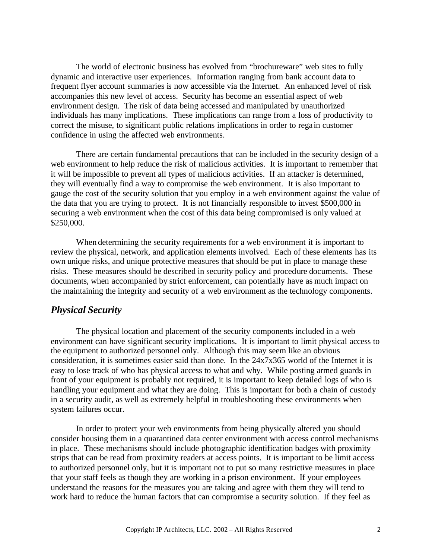The world of electronic business has evolved from "brochureware" web sites to fully dynamic and interactive user experiences. Information ranging from bank account data to frequent flyer account summaries is now accessible via the Internet. An enhanced level of risk accompanies this new level of access. Security has become an essential aspect of web environment design. The risk of data being accessed and manipulated by unauthorized individuals has many implications. These implications can range from a loss of productivity to correct the misuse, to significant public relations implications in order to rega in customer confidence in using the affected web environments.

There are certain fundamental precautions that can be included in the security design of a web environment to help reduce the risk of malicious activities. It is important to remember that it will be impossible to prevent all types of malicious activities. If an attacker is determined, they will eventually find a way to compromise the web environment. It is also important to gauge the cost of the security solution that you employ in a web environment against the value of the data that you are trying to protect. It is not financially responsible to invest \$500,000 in securing a web environment when the cost of this data being compromised is only valued at \$250,000.

When determining the security requirements for a web environment it is important to review the physical, network, and application elements involved. Each of these elements has its own unique risks, and unique protective measures that should be put in place to manage these risks. These measures should be described in security policy and procedure documents. These documents, when accompanied by strict enforcement, can potentially have as much impact on the maintaining the integrity and security of a web environment as the technology components.

# *Physical Security*

The physical location and placement of the security components included in a web environment can have significant security implications. It is important to limit physical access to the equipment to authorized personnel only. Although this may seem like an obvious consideration, it is sometimes easier said than done. In the 24x7x365 world of the Internet it is easy to lose track of who has physical access to what and why. While posting armed guards in front of your equipment is probably not required, it is important to keep detailed logs of who is handling your equipment and what they are doing. This is important for both a chain of custody in a security audit, as well as extremely helpful in troubleshooting these environments when system failures occur.

In order to protect your web environments from being physically altered you should consider housing them in a quarantined data center environment with access control mechanisms in place. These mechanisms should include photographic identification badges with proximity strips that can be read from proximity readers at access points. It is important to be limit access to authorized personnel only, but it is important not to put so many restrictive measures in place that your staff feels as though they are working in a prison environment. If your employees understand the reasons for the measures you are taking and agree with them they will tend to work hard to reduce the human factors that can compromise a security solution. If they feel as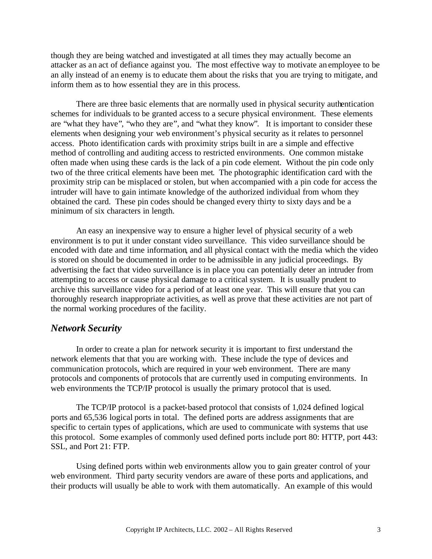though they are being watched and investigated at all times they may actually become an attacker as an act of defiance against you. The most effective way to motivate an employee to be an ally instead of an enemy is to educate them about the risks that you are trying to mitigate, and inform them as to how essential they are in this process.

There are three basic elements that are normally used in physical security authentication schemes for individuals to be granted access to a secure physical environment. These elements are "what they have", "who they are", and "what they know". It is important to consider these elements when designing your web environment's physical security as it relates to personnel access. Photo identification cards with proximity strips built in are a simple and effective method of controlling and auditing access to restricted environments. One common mistake often made when using these cards is the lack of a pin code element. Without the pin code only two of the three critical elements have been met. The photographic identification card with the proximity strip can be misplaced or stolen, but when accompanied with a pin code for access the intruder will have to gain intimate knowledge of the authorized individual from whom they obtained the card. These pin codes should be changed every thirty to sixty days and be a minimum of six characters in length.

An easy an inexpensive way to ensure a higher level of physical security of a web environment is to put it under constant video surveillance. This video surveillance should be encoded with date and time information, and all physical contact with the media which the video is stored on should be documented in order to be admissible in any judicial proceedings. By advertising the fact that video surveillance is in place you can potentially deter an intruder from attempting to access or cause physical damage to a critical system. It is usually prudent to archive this surveillance video for a period of at least one year. This will ensure that you can thoroughly research inappropriate activities, as well as prove that these activities are not part of the normal working procedures of the facility.

### *Network Security*

In order to create a plan for network security it is important to first understand the network elements that that you are working with. These include the type of devices and communication protocols, which are required in your web environment. There are many protocols and components of protocols that are currently used in computing environments. In web environments the TCP/IP protocol is usually the primary protocol that is used.

The TCP/IP protocol is a packet-based protocol that consists of 1,024 defined logical ports and 65,536 logical ports in total. The defined ports are address assignments that are specific to certain types of applications, which are used to communicate with systems that use this protocol. Some examples of commonly used defined ports include port 80: HTTP, port 443: SSL, and Port 21: FTP.

Using defined ports within web environments allow you to gain greater control of your web environment. Third party security vendors are aware of these ports and applications, and their products will usually be able to work with them automatically. An example of this would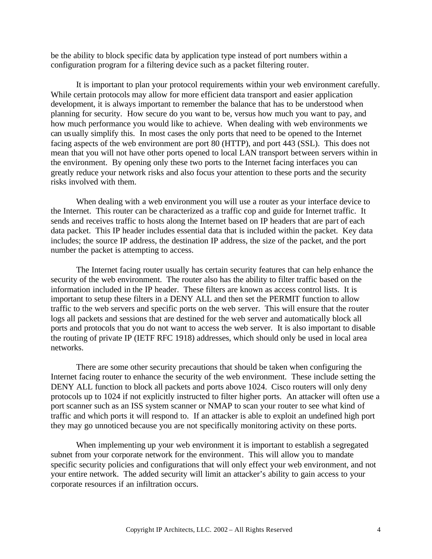be the ability to block specific data by application type instead of port numbers within a configuration program for a filtering device such as a packet filtering router.

It is important to plan your protocol requirements within your web environment carefully. While certain protocols may allow for more efficient data transport and easier application development, it is always important to remember the balance that has to be understood when planning for security. How secure do you want to be, versus how much you want to pay, and how much performance you would like to achieve. When dealing with web environments we can usually simplify this. In most cases the only ports that need to be opened to the Internet facing aspects of the web environment are port 80 (HTTP), and port 443 (SSL). This does not mean that you will not have other ports opened to local LAN transport between servers within in the environment. By opening only these two ports to the Internet facing interfaces you can greatly reduce your network risks and also focus your attention to these ports and the security risks involved with them.

When dealing with a web environment you will use a router as your interface device to the Internet. This router can be characterized as a traffic cop and guide for Internet traffic. It sends and receives traffic to hosts along the Internet based on IP headers that are part of each data packet. This IP header includes essential data that is included within the packet. Key data includes; the source IP address, the destination IP address, the size of the packet, and the port number the packet is attempting to access.

The Internet facing router usually has certain security features that can help enhance the security of the web environment. The router also has the ability to filter traffic based on the information included in the IP header. These filters are known as access control lists. It is important to setup these filters in a DENY ALL and then set the PERMIT function to allow traffic to the web servers and specific ports on the web server. This will ensure that the router logs all packets and sessions that are destined for the web server and automatically block all ports and protocols that you do not want to access the web server. It is also important to disable the routing of private IP (IETF RFC 1918) addresses, which should only be used in local area networks.

There are some other security precautions that should be taken when configuring the Internet facing router to enhance the security of the web environment. These include setting the DENY ALL function to block all packets and ports above 1024. Cisco routers will only deny protocols up to 1024 if not explicitly instructed to filter higher ports. An attacker will often use a port scanner such as an ISS system scanner or NMAP to scan your router to see what kind of traffic and which ports it will respond to. If an attacker is able to exploit an undefined high port they may go unnoticed because you are not specifically monitoring activity on these ports.

When implementing up your web environment it is important to establish a segregated subnet from your corporate network for the environment. This will allow you to mandate specific security policies and configurations that will only effect your web environment, and not your entire network. The added security will limit an attacker's ability to gain access to your corporate resources if an infiltration occurs.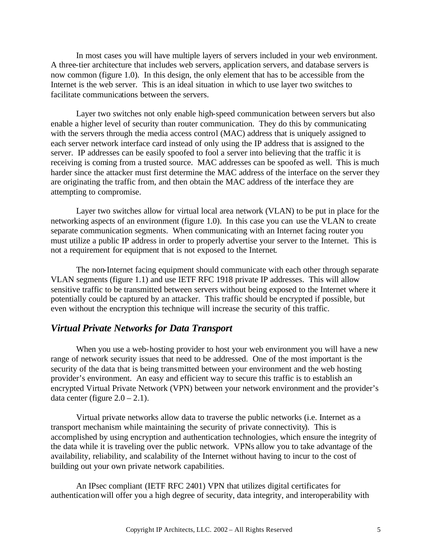In most cases you will have multiple layers of servers included in your web environment. A three-tier architecture that includes web servers, application servers, and database servers is now common (figure 1.0). In this design, the only element that has to be accessible from the Internet is the web server. This is an ideal situation in which to use layer two switches to facilitate communications between the servers.

Layer two switches not only enable high-speed communication between servers but also enable a higher level of security than router communication. They do this by communicating with the servers through the media access control (MAC) address that is uniquely assigned to each server network interface card instead of only using the IP address that is assigned to the server. IP addresses can be easily spoofed to fool a server into believing that the traffic it is receiving is coming from a trusted source. MAC addresses can be spoofed as well. This is much harder since the attacker must first determine the MAC address of the interface on the server they are originating the traffic from, and then obtain the MAC address of the interface they are attempting to compromise.

Layer two switches allow for virtual local area network (VLAN) to be put in place for the networking aspects of an environment (figure 1.0). In this case you can use the VLAN to create separate communication segments. When communicating with an Internet facing router you must utilize a public IP address in order to properly advertise your server to the Internet. This is not a requirement for equipment that is not exposed to the Internet.

The non-Internet facing equipment should communicate with each other through separate VLAN segments (figure 1.1) and use IETF RFC 1918 private IP addresses. This will allow sensitive traffic to be transmitted between servers without being exposed to the Internet where it potentially could be captured by an attacker. This traffic should be encrypted if possible, but even without the encryption this technique will increase the security of this traffic.

### *Virtual Private Networks for Data Transport*

When you use a web-hosting provider to host your web environment you will have a new range of network security issues that need to be addressed. One of the most important is the security of the data that is being transmitted between your environment and the web hosting provider's environment. An easy and efficient way to secure this traffic is to establish an encrypted Virtual Private Network (VPN) between your network environment and the provider's data center (figure  $2.0 - 2.1$ ).

Virtual private networks allow data to traverse the public networks (i.e. Internet as a transport mechanism while maintaining the security of private connectivity). This is accomplished by using encryption and authentication technologies, which ensure the integrity of the data while it is traveling over the public network. VPNs allow you to take advantage of the availability, reliability, and scalability of the Internet without having to incur to the cost of building out your own private network capabilities.

An IPsec compliant (IETF RFC 2401) VPN that utilizes digital certificates for authentication will offer you a high degree of security, data integrity, and interoperability with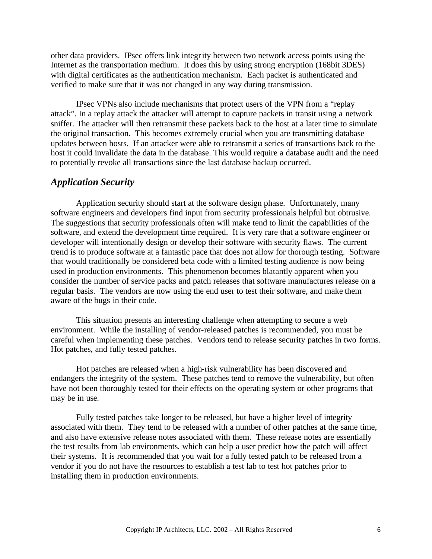other data providers. IPsec offers link integrity between two network access points using the Internet as the transportation medium. It does this by using strong encryption (168bit 3DES) with digital certificates as the authentication mechanism. Each packet is authenticated and verified to make sure that it was not changed in any way during transmission.

IPsec VPNs also include mechanisms that protect users of the VPN from a "replay attack". In a replay attack the attacker will attempt to capture packets in transit using a network sniffer. The attacker will then retransmit these packets back to the host at a later time to simulate the original transaction. This becomes extremely crucial when you are transmitting database updates between hosts. If an attacker were able to retransmit a series of transactions back to the host it could invalidate the data in the database. This would require a database audit and the need to potentially revoke all transactions since the last database backup occurred.

# *Application Security*

Application security should start at the software design phase. Unfortunately, many software engineers and developers find input from security professionals helpful but obtrusive. The suggestions that security professionals often will make tend to limit the capabilities of the software, and extend the development time required. It is very rare that a software engineer or developer will intentionally design or develop their software with security flaws. The current trend is to produce software at a fantastic pace that does not allow for thorough testing. Software that would traditionally be considered beta code with a limited testing audience is now being used in production environments. This phenomenon becomes blatantly apparent when you consider the number of service packs and patch releases that software manufactures release on a regular basis. The vendors are now using the end user to test their software, and make them aware of the bugs in their code.

This situation presents an interesting challenge when attempting to secure a web environment. While the installing of vendor-released patches is recommended, you must be careful when implementing these patches. Vendors tend to release security patches in two forms. Hot patches, and fully tested patches.

Hot patches are released when a high-risk vulnerability has been discovered and endangers the integrity of the system. These patches tend to remove the vulnerability, but often have not been thoroughly tested for their effects on the operating system or other programs that may be in use.

Fully tested patches take longer to be released, but have a higher level of integrity associated with them. They tend to be released with a number of other patches at the same time, and also have extensive release notes associated with them. These release notes are essentially the test results from lab environments, which can help a user predict how the patch will affect their systems. It is recommended that you wait for a fully tested patch to be released from a vendor if you do not have the resources to establish a test lab to test hot patches prior to installing them in production environments.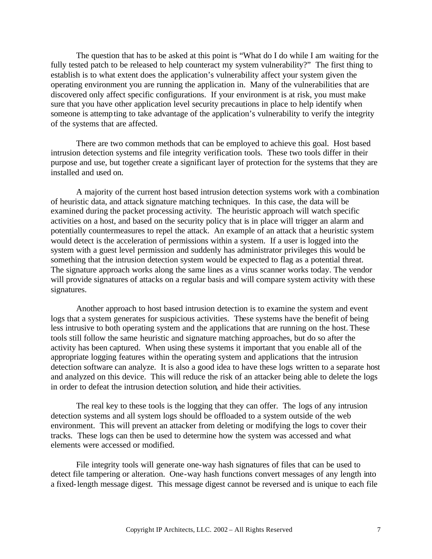The question that has to be asked at this point is "What do I do while I am waiting for the fully tested patch to be released to help counteract my system vulnerability?" The first thing to establish is to what extent does the application's vulnerability affect your system given the operating environment you are running the application in. Many of the vulnerabilities that are discovered only affect specific configurations. If your environment is at risk, you must make sure that you have other application level security precautions in place to help identify when someone is attempting to take advantage of the application's vulnerability to verify the integrity of the systems that are affected.

There are two common methods that can be employed to achieve this goal. Host based intrusion detection systems and file integrity verification tools. These two tools differ in their purpose and use, but together create a significant layer of protection for the systems that they are installed and used on.

A majority of the current host based intrusion detection systems work with a combination of heuristic data, and attack signature matching techniques. In this case, the data will be examined during the packet processing activity. The heuristic approach will watch specific activities on a host, and based on the security policy that is in place will trigger an alarm and potentially countermeasures to repel the attack. An example of an attack that a heuristic system would detect is the acceleration of permissions within a system. If a user is logged into the system with a guest level permission and suddenly has administrator privileges this would be something that the intrusion detection system would be expected to flag as a potential threat. The signature approach works along the same lines as a virus scanner works today. The vendor will provide signatures of attacks on a regular basis and will compare system activity with these signatures.

Another approach to host based intrusion detection is to examine the system and event logs that a system generates for suspicious activities. These systems have the benefit of being less intrusive to both operating system and the applications that are running on the host. These tools still follow the same heuristic and signature matching approaches, but do so after the activity has been captured. When using these systems it important that you enable all of the appropriate logging features within the operating system and applications that the intrusion detection software can analyze. It is also a good idea to have these logs written to a separate host and analyzed on this device. This will reduce the risk of an attacker being able to delete the logs in order to defeat the intrusion detection solution, and hide their activities.

The real key to these tools is the logging that they can offer. The logs of any intrusion detection systems and all system logs should be offloaded to a system outside of the web environment. This will prevent an attacker from deleting or modifying the logs to cover their tracks. These logs can then be used to determine how the system was accessed and what elements were accessed or modified.

File integrity tools will generate one-way hash signatures of files that can be used to detect file tampering or alteration. One-way hash functions convert messages of any length into a fixed-length message digest. This message digest cannot be reversed and is unique to each file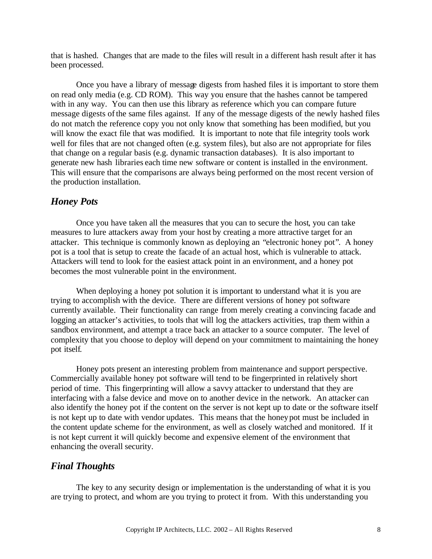that is hashed. Changes that are made to the files will result in a different hash result after it has been processed.

Once you have a library of message digests from hashed files it is important to store them on read only media (e.g. CD ROM). This way you ensure that the hashes cannot be tampered with in any way. You can then use this library as reference which you can compare future message digests of the same files against. If any of the message digests of the newly hashed files do not match the reference copy you not only know that something has been modified, but you will know the exact file that was modified. It is important to note that file integrity tools work well for files that are not changed often (e.g. system files), but also are not appropriate for files that change on a regular basis (e.g. dynamic transaction databases). It is also important to generate new hash libraries each time new software or content is installed in the environment. This will ensure that the comparisons are always being performed on the most recent version of the production installation.

# *Honey Pots*

Once you have taken all the measures that you can to secure the host, you can take measures to lure attackers away from your host by creating a more attractive target for an attacker. This technique is commonly known as deploying an "electronic honey pot". A honey pot is a tool that is setup to create the facade of an actual host, which is vulnerable to attack. Attackers will tend to look for the easiest attack point in an environment, and a honey pot becomes the most vulnerable point in the environment.

When deploying a honey pot solution it is important to understand what it is you are trying to accomplish with the device. There are different versions of honey pot software currently available. Their functionality can range from merely creating a convincing facade and logging an attacker's activities, to tools that will log the attackers activities, trap them within a sandbox environment, and attempt a trace back an attacker to a source computer. The level of complexity that you choose to deploy will depend on your commitment to maintaining the honey pot itself.

Honey pots present an interesting problem from maintenance and support perspective. Commercially available honey pot software will tend to be fingerprinted in relatively short period of time. This fingerprinting will allow a savvy attacker to understand that they are interfacing with a false device and move on to another device in the network. An attacker can also identify the honey pot if the content on the server is not kept up to date or the software itself is not kept up to date with vendor updates. This means that the honeypot must be included in the content update scheme for the environment, as well as closely watched and monitored. If it is not kept current it will quickly become and expensive element of the environment that enhancing the overall security.

# *Final Thoughts*

The key to any security design or implementation is the understanding of what it is you are trying to protect, and whom are you trying to protect it from. With this understanding you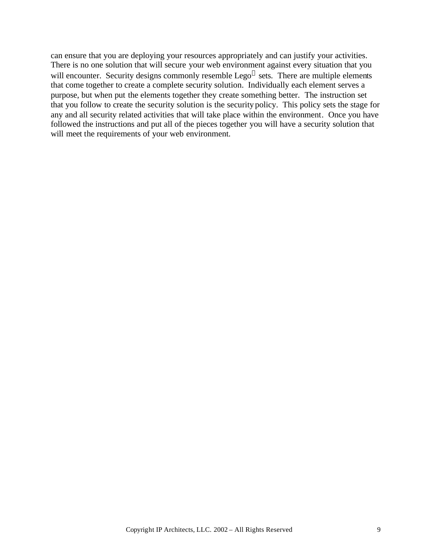can ensure that you are deploying your resources appropriately and can justify your activities. There is no one solution that will secure your web environment against every situation that you will encounter. Security designs commonly resemble Lego $^{\circledR}$  sets. There are multiple elements that come together to create a complete security solution. Individually each element serves a purpose, but when put the elements together they create something better. The instruction set that you follow to create the security solution is the security policy. This policy sets the stage for any and all security related activities that will take place within the environment. Once you have followed the instructions and put all of the pieces together you will have a security solution that will meet the requirements of your web environment.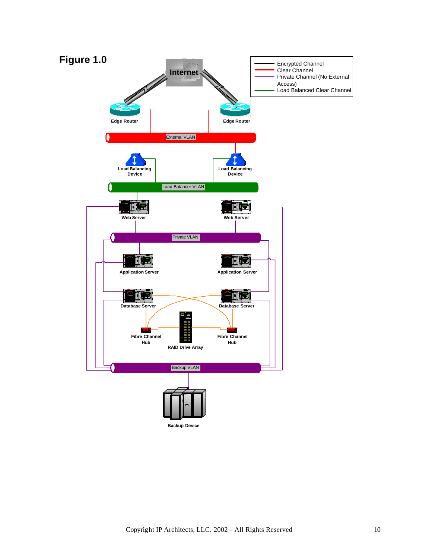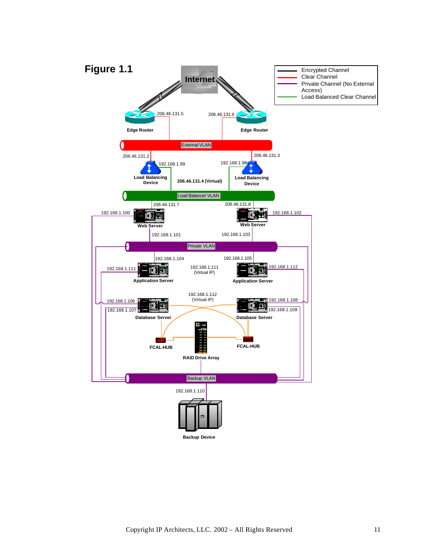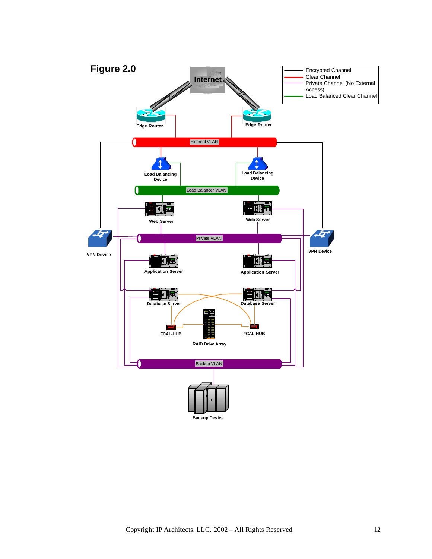